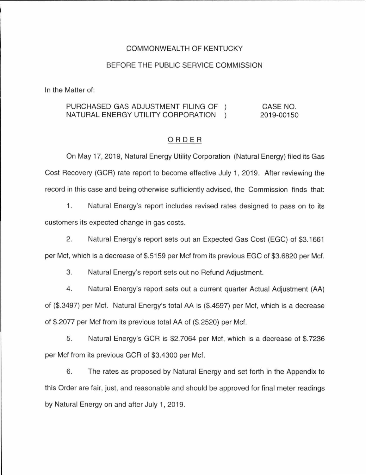## COMMONWEAL TH OF KENTUCKY

### BEFORE THE PUBLIC SERVICE COMMISSION

In the Matter of:

#### PURCHASED GAS ADJUSTMENT FILING OF CASE NO. NATURAL ENERGY UTILITY CORPORATION  $\left( \right)$ 2019-00150

## ORDER

On May 17, 2019, Natural Energy Utility Corporation (Natural Energy) filed its Gas Cost Recovery (GCR) rate report to become effective July 1, 2019. After reviewing the record in this case and being otherwise sufficiently advised, the Commission finds that:

1. Natural Energy's report includes revised rates designed to pass on to its customers its expected change in gas costs.

2. Natural Energy's report sets out an Expected Gas Cost (EGC) of \$3.1661 per Met, which is a decrease of \$.5159 per Met from its previous EGC of \$3.6820 per Met.

3. Natural Energy's report sets out no Refund Adjustment.

4. Natural Energy's report sets out a current quarter Actual Adjustment (AA) of (\$.3497) per Met. Natural Energy's total AA is (\$.4597) per Met, which is a decrease of \$.2077 per Met from its previous total AA of (\$.2520) per Met.

5. Natural Energy's GCR is \$2.7064 per Met, which is a decrease of \$.7236 per Met from its previous GCR of \$3.4300 per Met.

6. The rates as proposed by Natural Energy and set forth in the Appendix to this Order are fair, just, and reasonable and should be approved for final meter readings by Natural Energy on and after July 1, 2019.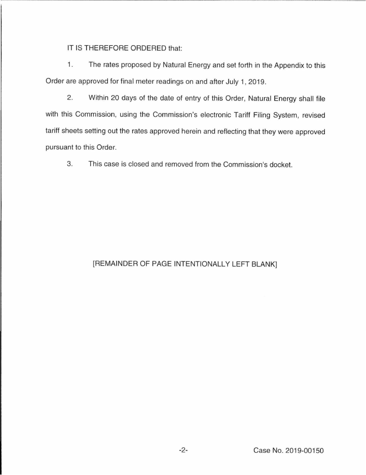IT IS THEREFORE ORDERED that:

1. The rates proposed by Natural Energy and set forth in the Appendix to this Order are approved for final meter readings on and after July 1, 2019.

2. Within 20 days of the date of entry of this Order, Natural Energy shall file with this Commission, using the Commission's electronic Tariff Filing System, revised tariff sheets setting out the rates approved herein and reflecting that they were approved pursuant to this Order.

3. This case is closed and removed from the Commission's docket.

# [REMAINDER OF PAGE INTENTIONALLY LEFT BLANK]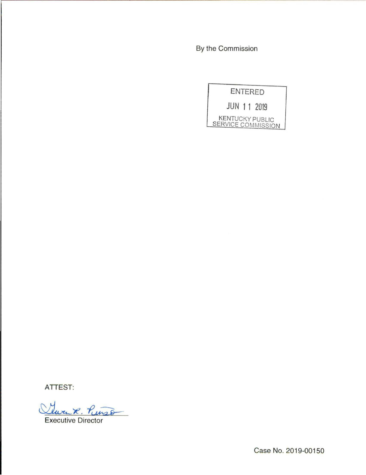By the Commission

ENTERED JUN 11 2019 KENTUCKY PUBLIC SERVICE COMMISSION

ATTEST:

Twen R. Pinso Executive Director

Case No. 2019-00150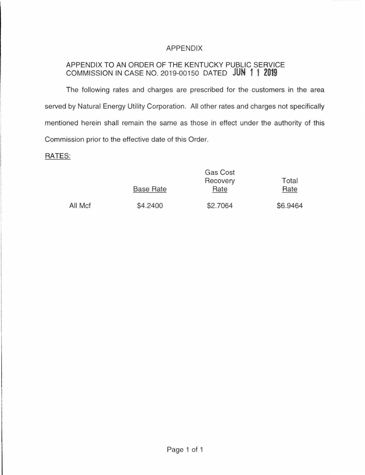## APPENDIX

# APPENDIX TO AN ORDER OF THE KENTUCKY PUBLIC SERVICE COMMISSION IN CASE NO. 2019-00150 DATED **JUN 11 2019**

The following rates and charges are prescribed for the customers in the area served by Natural Energy Utility Corporation. All other rates and charges not specifically mentioned herein shall remain the same as those in effect under the authority of this Commission prior to the effective date of this Order.

## RATES:

|         |                  | Gas Cost |          |
|---------|------------------|----------|----------|
|         |                  | Recovery | Total    |
|         | <b>Base Rate</b> | Rate     | Rate     |
| All Mcf | \$4.2400         | \$2.7064 | \$6.9464 |